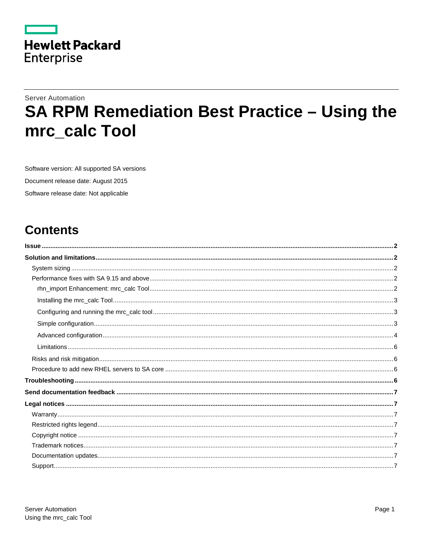

# **Server Automation SA RPM Remediation Best Practice - Using the** mrc\_calc Tool

Software version: All supported SA versions

Document release date: August 2015

Software release date: Not applicable

# **Contents**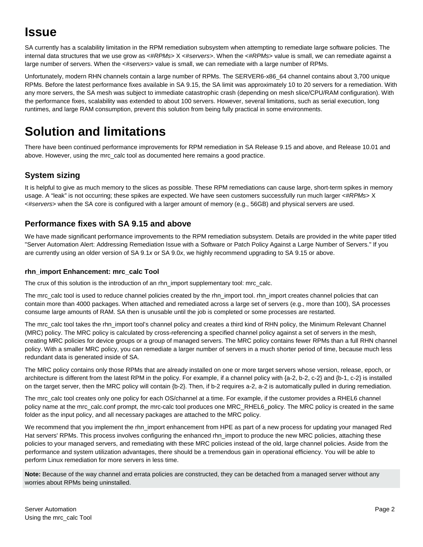## <span id="page-1-0"></span>**Issue**

SA currently has a scalability limitation in the RPM remediation subsystem when attempting to remediate large software policies. The internal data structures that we use grow as <*#RPMs*> X <*#servers*>. When the <*#RPMs*> value is small, we can remediate against a large number of servers. When the <*#servers*> value is small, we can remediate with a large number of RPMs.

Unfortunately, modern RHN channels contain a large number of RPMs. The SERVER6-x86\_64 channel contains about 3,700 unique RPMs. Before the latest performance fixes available in SA 9.15, the SA limit was approximately 10 to 20 servers for a remediation. With any more servers, the SA mesh was subject to immediate catastrophic crash (depending on mesh slice/CPU/RAM configuration). With the performance fixes, scalability was extended to about 100 servers. However, several limitations, such as serial execution, long runtimes, and large RAM consumption, prevent this solution from being fully practical in some environments.

# <span id="page-1-1"></span>**Solution and limitations**

There have been continued performance improvements for RPM remediation in SA Release 9.15 and above, and Release 10.01 and above. However, using the mrc\_calc tool as documented here remains a good practice.

## <span id="page-1-2"></span>**System sizing**

It is helpful to give as much memory to the slices as possible. These RPM remediations can cause large, short-term spikes in memory usage. A "leak" is not occurring; these spikes are expected. We have seen customers successfully run much larger <*#RPMs*> X <*#servers*> when the SA core is configured with a larger amount of memory (e.g., 56GB) and physical servers are used.

## <span id="page-1-3"></span>**Performance fixes with SA 9.15 and above**

We have made significant performance improvements to the RPM remediation subsystem. Details are provided in the white paper titled "Server Automation Alert: Addressing Remediation Issue with a Software or Patch Policy Against a Large Number of Servers." If you are currently using an older version of SA 9.1*x* or SA 9.0*x*, we highly recommend upgrading to SA 9.15 or above.

### <span id="page-1-4"></span>**rhn\_import Enhancement: mrc\_calc Tool**

The crux of this solution is the introduction of an rhn\_import supplementary tool: mrc\_calc.

The mrc\_calc tool is used to reduce channel policies created by the rhn\_import tool. rhn\_import creates channel policies that can contain more than 4000 packages. When attached and remediated across a large set of servers (e.g., more than 100), SA processes consume large amounts of RAM. SA then is unusable until the job is completed or some processes are restarted.

The mrc\_calc tool takes the rhn\_import tool's channel policy and creates a third kind of RHN policy, the Minimum Relevant Channel (MRC) policy. The MRC policy is calculated by cross-referencing a specified channel policy against a set of servers in the mesh, creating MRC policies for device groups or a group of managed servers. The MRC policy contains fewer RPMs than a full RHN channel policy. With a smaller MRC policy, you can remediate a larger number of servers in a much shorter period of time, because much less redundant data is generated inside of SA.

The MRC policy contains only those RPMs that are already installed on one or more target servers whose version, release, epoch, or architecture is different from the latest RPM in the policy. For example, if a channel policy with {a-2, b-2, c-2} and {b-1, c-2} is installed on the target server, then the MRC policy will contain {b-2}. Then, if b-2 requires a-2, a-2 is automatically pulled in during remediation.

The mrc\_calc tool creates only one policy for each OS/channel at a time. For example, if the customer provides a RHEL6 channel policy name at the mrc\_calc.conf prompt, the mrc-calc tool produces one MRC\_RHEL6\_policy. The MRC policy is created in the same folder as the input policy, and all necessary packages are attached to the MRC policy.

We recommend that you implement the rhn\_import enhancement from HPE as part of a new process for updating your managed Red Hat servers' RPMs. This process involves configuring the enhanced rhn\_import to produce the new MRC policies, attaching these policies to your managed servers, and remediating with these MRC policies instead of the old, large channel policies. Aside from the performance and system utilization advantages, there should be a tremendous gain in operational efficiency. You will be able to perform Linux remediation for more servers in less time.

**Note:** Because of the way channel and errata policies are constructed, they can be detached from a managed server without any worries about RPMs being uninstalled.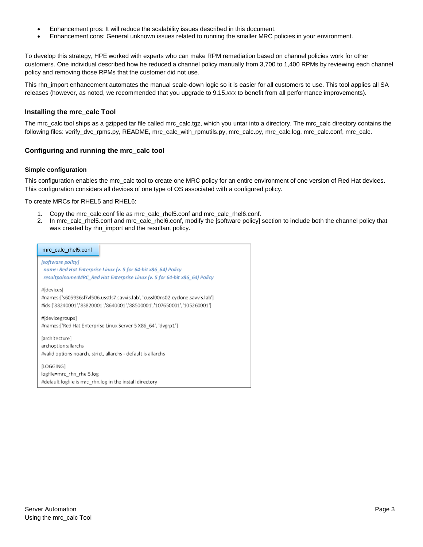- Enhancement pros: It will reduce the scalability issues described in this document.
- Enhancement cons: General unknown issues related to running the smaller MRC policies in your environment.

To develop this strategy, HPE worked with experts who can make RPM remediation based on channel policies work for other customers. One individual described how he reduced a channel policy manually from 3,700 to 1,400 RPMs by reviewing each channel policy and removing those RPMs that the customer did not use.

This rhn\_import enhancement automates the manual scale-down logic so it is easier for all customers to use. This tool applies all SA releases (however, as noted, we recommended that you upgrade to 9.15.*xxx* to benefit from all performance improvements).

#### <span id="page-2-0"></span>**Installing the mrc\_calc Tool**

The mrc\_calc tool ships as a gzipped tar file called mrc\_calc.tgz, which you untar into a directory. The mrc\_calc directory contains the following files: verify\_dvc\_rpms.py, README, mrc\_calc\_with\_rpmutils.py, mrc\_calc.py, mrc\_calc.log, mrc\_calc.conf, mrc\_calc.

#### <span id="page-2-1"></span>**Configuring and running the mrc\_calc tool**

#### <span id="page-2-2"></span>**Simple configuration**

This configuration enables the mrc\_calc tool to create one MRC policy for an entire environment of one version of Red Hat devices. This configuration considers all devices of one type of OS associated with a configured policy.

To create MRCs for RHEL5 and RHEL6:

- 1. Copy the mrc\_calc.conf file as mrc\_calc\_rhel5.conf and mrc\_calc\_rhel6.conf.
- 2. In mrc\_calc\_rhel5.conf and mrc\_calc\_rhel6.conf, modify the [software policy] section to include both the channel policy that was created by rhn\_import and the resultant policy.

| mrc calc rhel5.conf                                                                                                                                                        |  |  |
|----------------------------------------------------------------------------------------------------------------------------------------------------------------------------|--|--|
| [software policy]<br>name: Red Hat Enterprise Linux (v. 5 for 64-bit x86 64) Policy<br>resultpolname:MRC Red Hat Enterprise Linux (v. 5 for 64-bit x86 64) Policy          |  |  |
| #[devices]<br>#names:['s605936sl7vl506.usstls7.savvis.lab', 'cussl00ns02.cyclone.savvis.lab']<br>#ids:['88240001','83820001','8640001','88500001','107650001','105260001'] |  |  |
| #[devicegroups]<br>#names:['Red Hat Enterprise Linux Server 5 X86_64', 'dvgrp1']                                                                                           |  |  |
| [architecture]<br>archoption:allarchs<br>#valid options noarch, strict, allarchs - default is allarchs                                                                     |  |  |
| [LOGGING]<br>logfile=mrc_rhn_rhel5.log<br>#default logfile is mrc_rhn.log in the install directory                                                                         |  |  |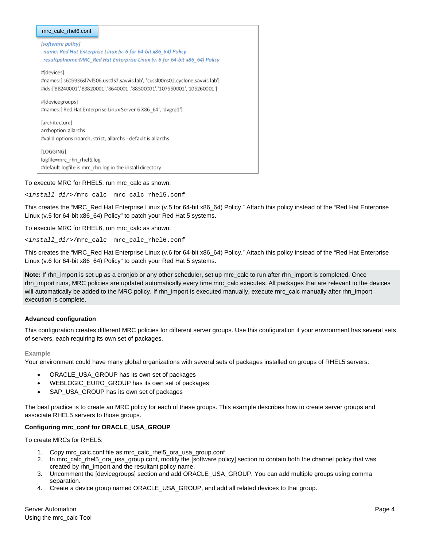| mrc calc rhel6.conf                                                                                                                                                        |  |  |
|----------------------------------------------------------------------------------------------------------------------------------------------------------------------------|--|--|
| [software policy]<br>name: Red Hat Enterprise Linux (v. 6 for 64-bit x86 64) Policy<br>resultpolname:MRC_Red Hat Enterprise Linux (v. 6 for 64-bit x86_64) Policy          |  |  |
| #[devices]<br>#names:['s605936sl7vl506.usstls7.savvis.lab', 'cussl00ns02.cyclone.savvis.lab']<br>#ids:['88240001','83820001','8640001','88500001','107650001','105260001'] |  |  |
| #[devicegroups]<br>#names:['Red Hat Enterprise Linux Server 6 X86 64', 'dvgrp1']                                                                                           |  |  |
| [architecture]<br>archoption:allarchs<br>#valid options noarch, strict, allarchs - default is allarchs                                                                     |  |  |
| [LOGGING]<br>logfile=mrc_rhn_rhel6.log<br>#default logfile is mrc rhn.log in the install directory                                                                         |  |  |

#### To execute MRC for RHEL5, run mrc\_calc as shown:

<*install\_dir*>/mrc\_calc mrc\_calc\_rhel5.conf

This creates the "MRC\_Red Hat Enterprise Linux (v.5 for 64-bit x86\_64) Policy." Attach this policy instead of the "Red Hat Enterprise Linux (v.5 for 64-bit x86\_64) Policy" to patch your Red Hat 5 systems.

To execute MRC for RHEL6, run mrc\_calc as shown:

<*install\_dir*>/mrc\_calc mrc\_calc\_rhel6.conf

This creates the "MRC\_Red Hat Enterprise Linux (v.6 for 64-bit x86\_64) Policy." Attach this policy instead of the "Red Hat Enterprise Linux (v.6 for 64-bit x86\_64) Policy" to patch your Red Hat 5 systems.

**Note:** If rhn\_import is set up as a cronjob or any other scheduler, set up mrc\_calc to run after rhn\_import is completed. Once rhn\_import runs, MRC policies are updated automatically every time mrc\_calc executes. All packages that are relevant to the devices will automatically be added to the MRC policy. If rhn\_import is executed manually, execute mrc\_calc manually after rhn\_import execution is complete.

#### <span id="page-3-0"></span>**Advanced configuration**

This configuration creates different MRC policies for different server groups. Use this configuration if your environment has several sets of servers, each requiring its own set of packages.

#### **Example**

Your environment could have many global organizations with several sets of packages installed on groups of RHEL5 servers:

- ORACLE\_USA\_GROUP has its own set of packages
- WEBLOGIC\_EURO\_GROUP has its own set of packages
- SAP\_USA\_GROUP has its own set of packages

The best practice is to create an MRC policy for each of these groups. This example describes how to create server groups and associate RHEL5 servers to those groups.

#### **Configuring mrc\_conf for ORACLE\_USA\_GROUP**

To create MRCs for RHEL5:

- 1. Copy mrc\_calc.conf file as mrc\_calc\_rhel5\_ora\_usa\_group.conf.
- 2. In mrc\_calc\_rhel5\_ora\_usa\_group.conf, modify the [software policy] section to contain both the channel policy that was created by rhn\_import and the resultant policy name.
- 3. Uncomment the [devicegroups] section and add ORACLE\_USA\_GROUP. You can add multiple groups using comma separation.
- 4. Create a device group named ORACLE\_USA\_GROUP, and add all related devices to that group.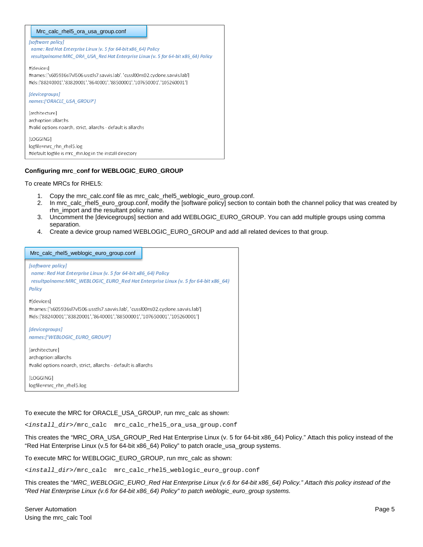| Mrc_calc_rhel5_ora_usa_group.conf                                                                                                                                          |  |  |
|----------------------------------------------------------------------------------------------------------------------------------------------------------------------------|--|--|
| [software policy]<br>name: Red Hat Enterprise Linux (v. 5 for 64-bit x86 64) Policy<br>resultpolname:MRC_ORA_USA_Red Hat Enterprise Linux (v. 5 for 64-bit x86_64) Policy  |  |  |
| #[devices]<br>#names:['s605936sl7vl506.usstls7.savvis.lab', 'cussl00ns02.cyclone.savvis.lab']<br>#ids:['88240001','83820001','8640001','88500001','107650001','105260001'] |  |  |
| [devicegroups]<br>names:['ORACLE USA GROUP']                                                                                                                               |  |  |
| [architecture]<br>archoption:allarchs<br>#valid options noarch, strict, allarchs - default is allarchs                                                                     |  |  |
| [LOGGING]<br>logfile=mrc_rhn_rhel5.log<br>#default logfile is mrc_rhn.log in the install directory                                                                         |  |  |

#### **Configuring mrc\_conf for WEBLOGIC\_EURO\_GROUP**

To create MRCs for RHEL5:

- 1. Copy the mrc\_calc.conf file as mrc\_calc\_rhel5\_weblogic\_euro\_group.conf.
- 2. In mrc\_calc\_rhel5\_euro\_group.conf, modify the [software policy] section to contain both the channel policy that was created by rhn\_import and the resultant policy name.
- 3. Uncomment the [devicegroups] section and add WEBLOGIC\_EURO\_GROUP. You can add multiple groups using comma separation.
- 4. Create a device group named WEBLOGIC\_EURO\_GROUP and add all related devices to that group.

| Mrc calc rhel5 weblogic euro group.conf                                                                                                                                            |  |  |
|------------------------------------------------------------------------------------------------------------------------------------------------------------------------------------|--|--|
| [software policy]<br>name: Red Hat Enterprise Linux (v. 5 for 64-bit x86 64) Policy<br>resultpolname:MRC_WEBLOGIC_EURO_Red Hat Enterprise Linux (v. 5 for 64-bit x86_64)<br>Policy |  |  |
| #[devices]<br>#names:['s605936sl7vl506.usstls7.savvis.lab', 'cussl00ns02.cyclone.savvis.lab']<br>#ids:['88240001','83820001','8640001','88500001','107650001','105260001']         |  |  |
| [devicegroups]<br>names:['WEBLOGIC EURO GROUP']                                                                                                                                    |  |  |
| [architecture]<br>archoption:allarchs<br>#valid options noarch, strict, allarchs - default is allarchs                                                                             |  |  |
| [LOGGING]<br>logfile=mrc_rhn_rhel5.log                                                                                                                                             |  |  |

#### To execute the MRC for ORACLE\_USA\_GROUP, run mrc\_calc as shown:

<*install\_dir*>/mrc\_calc mrc\_calc\_rhel5\_ora\_usa\_group.conf

This creates the "MRC\_ORA\_USA\_GROUP\_Red Hat Enterprise Linux (v. 5 for 64-bit x86\_64) Policy." Attach this policy instead of the "Red Hat Enterprise Linux (v.5 for 64-bit x86\_64) Policy" to patch oracle\_usa\_group systems.

To execute MRC for WEBLOGIC\_EURO\_GROUP, run mrc\_calc as shown:

<*install\_dir*>/mrc\_calc mrc\_calc\_rhel5\_weblogic\_euro\_group.conf

This creates the "*MRC\_WEBLOGIC\_EURO\_Red Hat Enterprise Linux (v.6 for 64-bit x86\_64) Policy." Attach this policy instead of the "Red Hat Enterprise Linux (v.6 for 64-bit x86\_64) Policy" to patch weblogic\_euro\_group systems.*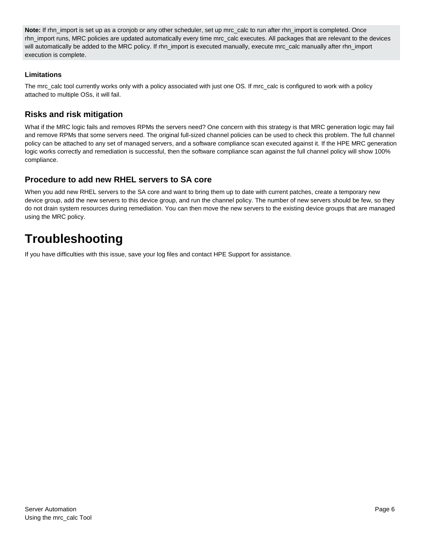**Note:** If rhn\_import is set up as a cronjob or any other scheduler, set up mrc\_calc to run after rhn\_import is completed. Once rhn\_import runs, MRC policies are updated automatically every time mrc\_calc executes. All packages that are relevant to the devices will automatically be added to the MRC policy. If rhn\_import is executed manually, execute mrc\_calc manually after rhn\_import execution is complete.

### <span id="page-5-0"></span>**Limitations**

The mrc\_calc tool currently works only with a policy associated with just one OS. If mrc\_calc is configured to work with a policy attached to multiple OSs, it will fail.

## <span id="page-5-1"></span>**Risks and risk mitigation**

What if the MRC logic fails and removes RPMs the servers need? One concern with this strategy is that MRC generation logic may fail and remove RPMs that some servers need. The original full-sized channel policies can be used to check this problem. The full channel policy can be attached to any set of managed servers, and a software compliance scan executed against it. If the HPE MRC generation logic works correctly and remediation is successful, then the software compliance scan against the full channel policy will show 100% compliance.

### <span id="page-5-2"></span>**Procedure to add new RHEL servers to SA core**

When you add new RHEL servers to the SA core and want to bring them up to date with current patches, create a temporary new device group, add the new servers to this device group, and run the channel policy. The number of new servers should be few, so they do not drain system resources during remediation. You can then move the new servers to the existing device groups that are managed using the MRC policy.

# <span id="page-5-3"></span>**Troubleshooting**

If you have difficulties with this issue, save your log files and contact HPE Support for assistance.